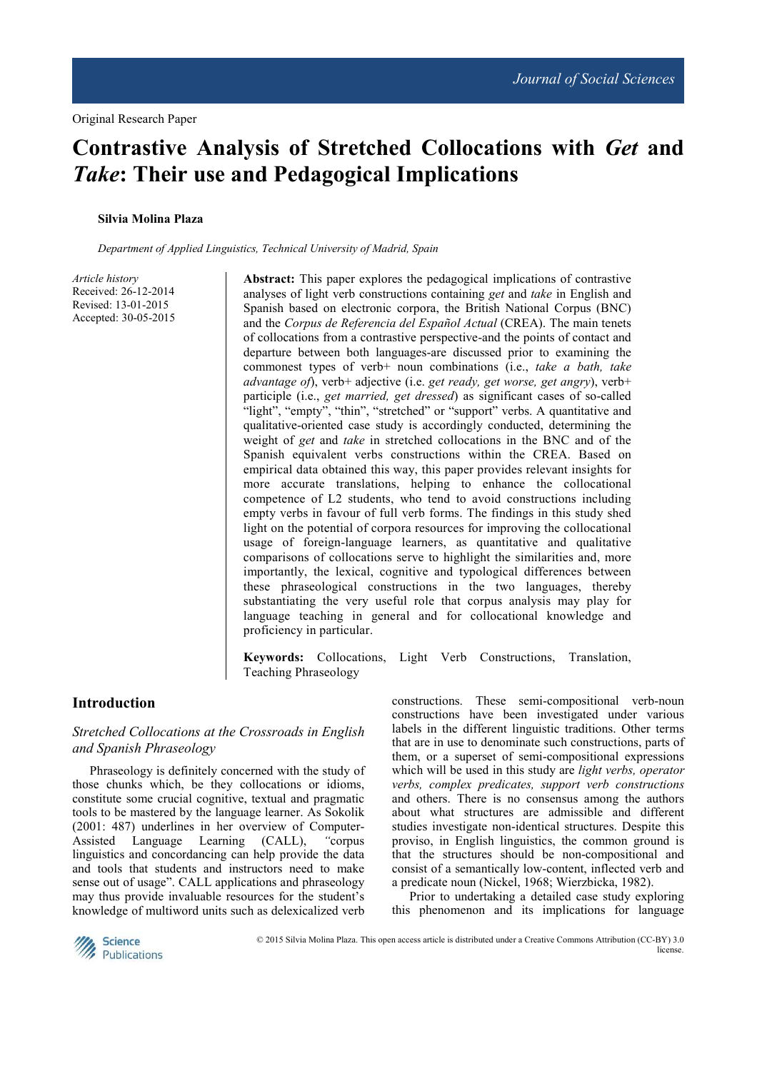# **Contrastive Analysis of Stretched Collocations with** *Get* **and**  *Take***: Their use and Pedagogical Implications**

#### **Silvia Molina Plaza**

*Department of Applied Linguistics, Technical University of Madrid, Spain* 

*Article history*  Received: 26-12-2014 Revised: 13-01-2015 Accepted: 30-05-2015 **Abstract:** This paper explores the pedagogical implications of contrastive analyses of light verb constructions containing *get* and *take* in English and Spanish based on electronic corpora, the British National Corpus (BNC) and the *Corpus de Referencia del Español Actual* (CREA). The main tenets of collocations from a contrastive perspective-and the points of contact and departure between both languages-are discussed prior to examining the commonest types of verb+ noun combinations (i.e., *take a bath, take advantage of*), verb+ adjective (i.e. *get ready, get worse, get angry*), verb+ participle (i.e., *get married, get dressed*) as significant cases of so-called "light", "empty", "thin", "stretched" or "support" verbs. A quantitative and qualitative-oriented case study is accordingly conducted, determining the weight of *get* and *take* in stretched collocations in the BNC and of the Spanish equivalent verbs constructions within the CREA. Based on empirical data obtained this way, this paper provides relevant insights for more accurate translations, helping to enhance the collocational competence of L2 students, who tend to avoid constructions including empty verbs in favour of full verb forms. The findings in this study shed light on the potential of corpora resources for improving the collocational usage of foreign-language learners, as quantitative and qualitative comparisons of collocations serve to highlight the similarities and, more importantly, the lexical, cognitive and typological differences between these phraseological constructions in the two languages, thereby substantiating the very useful role that corpus analysis may play for language teaching in general and for collocational knowledge and proficiency in particular.

**Keywords:** Collocations, Light Verb Constructions, Translation, Teaching Phraseology

# **Introduction**

# *Stretched Collocations at the Crossroads in English and Spanish Phraseology*

Phraseology is definitely concerned with the study of those chunks which, be they collocations or idioms, constitute some crucial cognitive, textual and pragmatic tools to be mastered by the language learner. As Sokolik (2001: 487) underlines in her overview of Computer-Assisted Language Learning (CALL), *"*corpus linguistics and concordancing can help provide the data and tools that students and instructors need to make sense out of usage". CALL applications and phraseology may thus provide invaluable resources for the student's knowledge of multiword units such as delexicalized verb constructions. These semi-compositional verb-noun constructions have been investigated under various labels in the different linguistic traditions. Other terms that are in use to denominate such constructions, parts of them, or a superset of semi-compositional expressions which will be used in this study are *light verbs, operator verbs, complex predicates, support verb constructions* and others. There is no consensus among the authors about what structures are admissible and different studies investigate non-identical structures. Despite this proviso, in English linguistics, the common ground is that the structures should be non-compositional and consist of a semantically low-content, inflected verb and a predicate noun (Nickel, 1968; Wierzbicka, 1982).

Prior to undertaking a detailed case study exploring this phenomenon and its implications for language



 © 2015 Silvia Molina Plaza. This open access article is distributed under a Creative Commons Attribution (CC-BY) 3.0 license.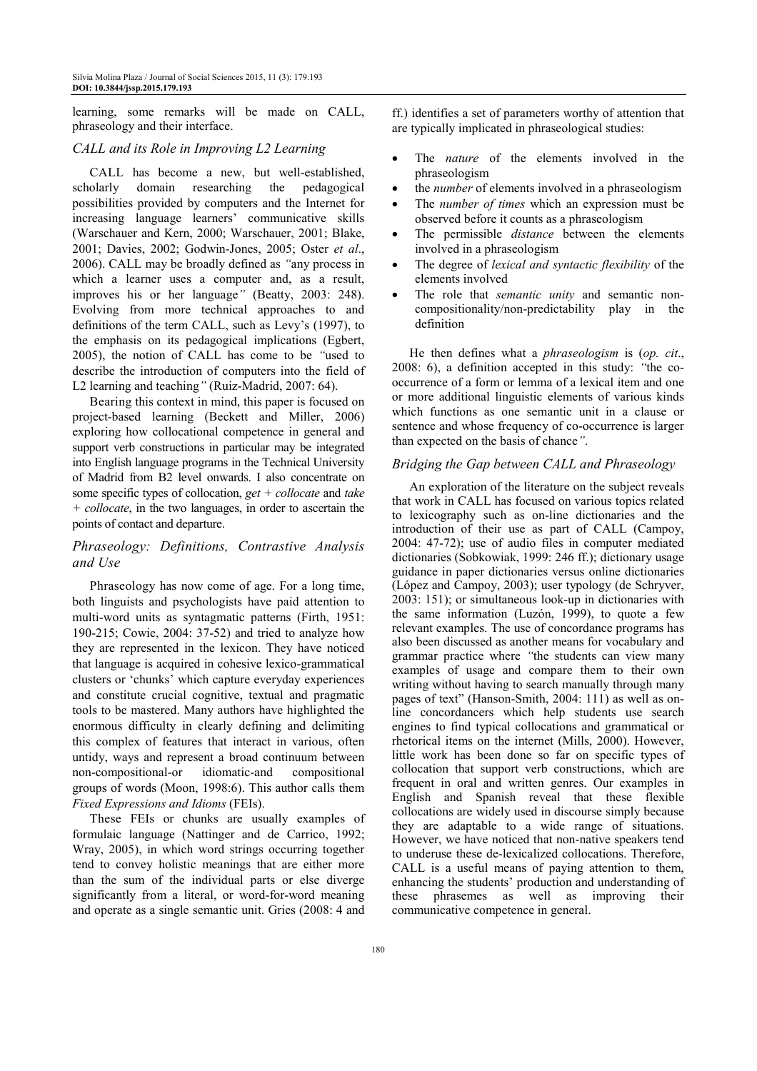learning, some remarks will be made on CALL, phraseology and their interface.

#### *CALL and its Role in Improving L2 Learning*

CALL has become a new, but well-established, scholarly domain researching the pedagogical possibilities provided by computers and the Internet for increasing language learners' communicative skills (Warschauer and Kern, 2000; Warschauer, 2001; Blake, 2001; Davies, 2002; Godwin-Jones, 2005; Oster *et al*., 2006). CALL may be broadly defined as *"*any process in which a learner uses a computer and, as a result, improves his or her language*"* (Beatty, 2003: 248). Evolving from more technical approaches to and definitions of the term CALL, such as Levy's (1997), to the emphasis on its pedagogical implications (Egbert, 2005), the notion of CALL has come to be *"*used to describe the introduction of computers into the field of L2 learning and teaching*"* (Ruiz-Madrid, 2007: 64).

Bearing this context in mind, this paper is focused on project-based learning (Beckett and Miller, 2006) exploring how collocational competence in general and support verb constructions in particular may be integrated into English language programs in the Technical University of Madrid from B2 level onwards. I also concentrate on some specific types of collocation, *get + collocate* and *take + collocate*, in the two languages, in order to ascertain the points of contact and departure.

# *Phraseology: Definitions, Contrastive Analysis and Use*

Phraseology has now come of age. For a long time, both linguists and psychologists have paid attention to multi-word units as syntagmatic patterns (Firth, 1951: 190-215; Cowie, 2004: 37-52) and tried to analyze how they are represented in the lexicon. They have noticed that language is acquired in cohesive lexico-grammatical clusters or 'chunks' which capture everyday experiences and constitute crucial cognitive, textual and pragmatic tools to be mastered. Many authors have highlighted the enormous difficulty in clearly defining and delimiting this complex of features that interact in various, often untidy, ways and represent a broad continuum between non-compositional-or idiomatic-and compositional groups of words (Moon, 1998:6). This author calls them *Fixed Expressions and Idioms* (FEIs).

These FEIs or chunks are usually examples of formulaic language (Nattinger and de Carrico, 1992; Wray, 2005), in which word strings occurring together tend to convey holistic meanings that are either more than the sum of the individual parts or else diverge significantly from a literal, or word-for-word meaning and operate as a single semantic unit. Gries (2008: 4 and

ff.) identifies a set of parameters worthy of attention that are typically implicated in phraseological studies:

- The *nature* of the elements involved in the phraseologism
- the *number* of elements involved in a phraseologism
- The *number of times* which an expression must be observed before it counts as a phraseologism
- The permissible *distance* between the elements involved in a phraseologism
- The degree of *lexical and syntactic flexibility* of the elements involved
- The role that *semantic unity* and semantic noncompositionality/non-predictability play in the definition

He then defines what a *phraseologism* is (*op. cit*., 2008: 6), a definition accepted in this study: *"*the cooccurrence of a form or lemma of a lexical item and one or more additional linguistic elements of various kinds which functions as one semantic unit in a clause or sentence and whose frequency of co-occurrence is larger than expected on the basis of chance*"*.

#### *Bridging the Gap between CALL and Phraseology*

An exploration of the literature on the subject reveals that work in CALL has focused on various topics related to lexicography such as on-line dictionaries and the introduction of their use as part of CALL (Campoy, 2004: 47-72); use of audio files in computer mediated dictionaries (Sobkowiak, 1999: 246 ff.); dictionary usage guidance in paper dictionaries versus online dictionaries (López and Campoy, 2003); user typology (de Schryver, 2003: 151); or simultaneous look-up in dictionaries with the same information (Luzón, 1999), to quote a few relevant examples. The use of concordance programs has also been discussed as another means for vocabulary and grammar practice where *"*the students can view many examples of usage and compare them to their own writing without having to search manually through many pages of text" (Hanson-Smith, 2004: 111) as well as online concordancers which help students use search engines to find typical collocations and grammatical or rhetorical items on the internet (Mills, 2000). However, little work has been done so far on specific types of collocation that support verb constructions, which are frequent in oral and written genres. Our examples in English and Spanish reveal that these flexible collocations are widely used in discourse simply because they are adaptable to a wide range of situations. However, we have noticed that non-native speakers tend to underuse these de-lexicalized collocations. Therefore, CALL is a useful means of paying attention to them, enhancing the students' production and understanding of these phrasemes as well as improving their communicative competence in general.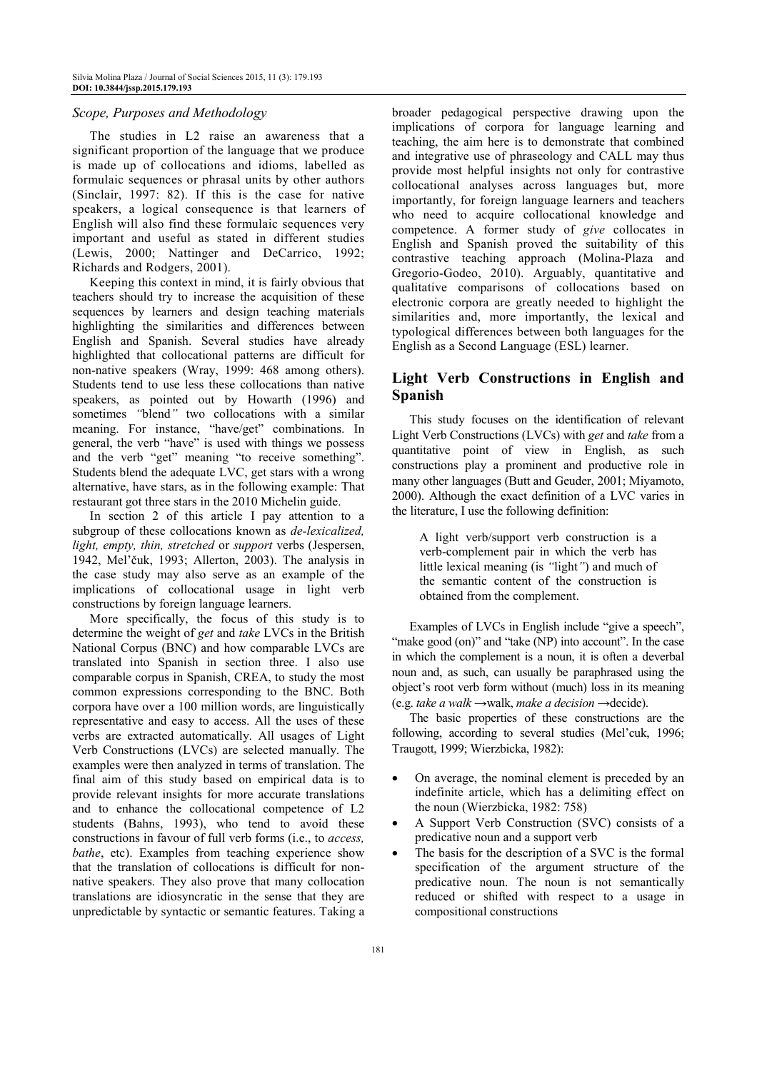## *Scope, Purposes and Methodology*

The studies in L2 raise an awareness that a significant proportion of the language that we produce is made up of collocations and idioms, labelled as formulaic sequences or phrasal units by other authors (Sinclair, 1997: 82). If this is the case for native speakers, a logical consequence is that learners of English will also find these formulaic sequences very important and useful as stated in different studies (Lewis, 2000; Nattinger and DeCarrico, 1992; Richards and Rodgers, 2001).

Keeping this context in mind, it is fairly obvious that teachers should try to increase the acquisition of these sequences by learners and design teaching materials highlighting the similarities and differences between English and Spanish. Several studies have already highlighted that collocational patterns are difficult for non-native speakers (Wray, 1999: 468 among others). Students tend to use less these collocations than native speakers, as pointed out by Howarth (1996) and sometimes *"*blend*"* two collocations with a similar meaning. For instance, "have/get" combinations. In general, the verb "have" is used with things we possess and the verb "get" meaning "to receive something". Students blend the adequate LVC, get stars with a wrong alternative, have stars, as in the following example: That restaurant got three stars in the 2010 Michelin guide.

In section 2 of this article I pay attention to a subgroup of these collocations known as *de-lexicalized, light, empty, thin, stretched* or *support* verbs (Jespersen, 1942, Mel'čuk, 1993; Allerton, 2003). The analysis in the case study may also serve as an example of the implications of collocational usage in light verb constructions by foreign language learners.

More specifically, the focus of this study is to determine the weight of *get* and *take* LVCs in the British National Corpus (BNC) and how comparable LVCs are translated into Spanish in section three. I also use comparable corpus in Spanish, CREA, to study the most common expressions corresponding to the BNC. Both corpora have over a 100 million words, are linguistically representative and easy to access. All the uses of these verbs are extracted automatically. All usages of Light Verb Constructions (LVCs) are selected manually. The examples were then analyzed in terms of translation. The final aim of this study based on empirical data is to provide relevant insights for more accurate translations and to enhance the collocational competence of L2 students (Bahns, 1993), who tend to avoid these constructions in favour of full verb forms (i.e., to *access, bathe*, etc). Examples from teaching experience show that the translation of collocations is difficult for nonnative speakers. They also prove that many collocation translations are idiosyncratic in the sense that they are unpredictable by syntactic or semantic features. Taking a

broader pedagogical perspective drawing upon the implications of corpora for language learning and teaching, the aim here is to demonstrate that combined and integrative use of phraseology and CALL may thus provide most helpful insights not only for contrastive collocational analyses across languages but, more importantly, for foreign language learners and teachers who need to acquire collocational knowledge and competence. A former study of *give* collocates in English and Spanish proved the suitability of this contrastive teaching approach (Molina-Plaza and Gregorio-Godeo, 2010). Arguably, quantitative and qualitative comparisons of collocations based on electronic corpora are greatly needed to highlight the similarities and, more importantly, the lexical and typological differences between both languages for the English as a Second Language (ESL) learner.

# **Light Verb Constructions in English and Spanish**

This study focuses on the identification of relevant Light Verb Constructions (LVCs) with *get* and *take* from a quantitative point of view in English, as such constructions play a prominent and productive role in many other languages (Butt and Geuder, 2001; Miyamoto, 2000). Although the exact definition of a LVC varies in the literature, I use the following definition:

A light verb/support verb construction is a verb-complement pair in which the verb has little lexical meaning (is *"*light*"*) and much of the semantic content of the construction is obtained from the complement.

Examples of LVCs in English include "give a speech", "make good (on)" and "take (NP) into account". In the case in which the complement is a noun, it is often a deverbal noun and, as such, can usually be paraphrased using the object's root verb form without (much) loss in its meaning (e.g. *take a walk* →walk, *make a decision* →decide).

The basic properties of these constructions are the following, according to several studies (Mel'cuk, 1996; Traugott, 1999; Wierzbicka, 1982):

- On average, the nominal element is preceded by an indefinite article, which has a delimiting effect on the noun (Wierzbicka, 1982: 758)
- A Support Verb Construction (SVC) consists of a predicative noun and a support verb
- The basis for the description of a SVC is the formal specification of the argument structure of the predicative noun. The noun is not semantically reduced or shifted with respect to a usage in compositional constructions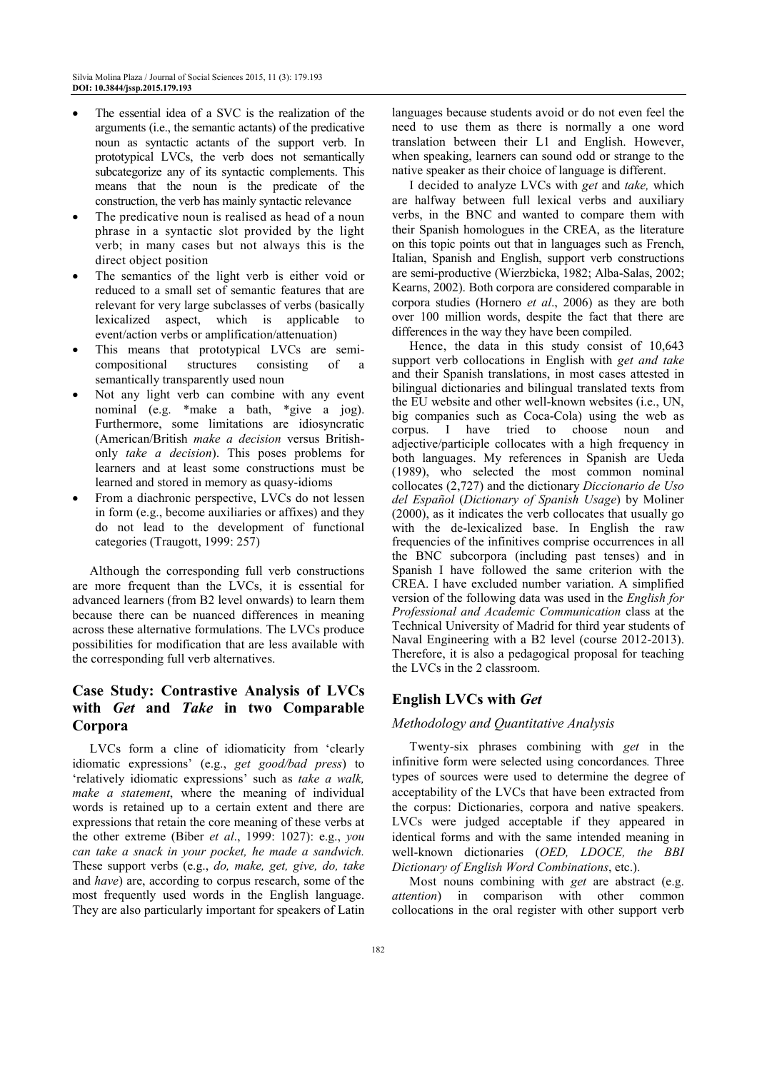- The essential idea of a SVC is the realization of the arguments (i.e., the semantic actants) of the predicative noun as syntactic actants of the support verb. In prototypical LVCs, the verb does not semantically subcategorize any of its syntactic complements. This means that the noun is the predicate of the construction, the verb has mainly syntactic relevance
- The predicative noun is realised as head of a noun phrase in a syntactic slot provided by the light verb; in many cases but not always this is the direct object position
- The semantics of the light verb is either void or reduced to a small set of semantic features that are relevant for very large subclasses of verbs (basically lexicalized aspect, which is applicable to event/action verbs or amplification/attenuation)
- This means that prototypical LVCs are semicompositional structures consisting of a semantically transparently used noun
- Not any light verb can combine with any event nominal (e.g. \*make a bath, \*give a jog). Furthermore, some limitations are idiosyncratic (American/British *make a decision* versus Britishonly *take a decision*). This poses problems for learners and at least some constructions must be learned and stored in memory as quasy-idioms
- From a diachronic perspective, LVCs do not lessen in form (e.g., become auxiliaries or affixes) and they do not lead to the development of functional categories (Traugott, 1999: 257)

Although the corresponding full verb constructions are more frequent than the LVCs, it is essential for advanced learners (from B2 level onwards) to learn them because there can be nuanced differences in meaning across these alternative formulations. The LVCs produce possibilities for modification that are less available with the corresponding full verb alternatives.

# **Case Study: Contrastive Analysis of LVCs with** *Get* **and** *Take* **in two Comparable Corpora**

LVCs form a cline of idiomaticity from 'clearly idiomatic expressions' (e.g., *get good/bad press*) to 'relatively idiomatic expressions' such as *take a walk, make a statement*, where the meaning of individual words is retained up to a certain extent and there are expressions that retain the core meaning of these verbs at the other extreme (Biber *et al*., 1999: 1027): e.g., *you can take a snack in your pocket, he made a sandwich.*  These support verbs (e.g., *do, make, get, give, do, take* and *have*) are, according to corpus research, some of the most frequently used words in the English language. They are also particularly important for speakers of Latin

languages because students avoid or do not even feel the need to use them as there is normally a one word translation between their L1 and English. However, when speaking, learners can sound odd or strange to the native speaker as their choice of language is different.

I decided to analyze LVCs with *get* and *take,* which are halfway between full lexical verbs and auxiliary verbs, in the BNC and wanted to compare them with their Spanish homologues in the CREA, as the literature on this topic points out that in languages such as French, Italian, Spanish and English, support verb constructions are semi-productive (Wierzbicka, 1982; Alba-Salas, 2002; Kearns, 2002). Both corpora are considered comparable in corpora studies (Hornero *et al*., 2006) as they are both over 100 million words, despite the fact that there are differences in the way they have been compiled.

Hence, the data in this study consist of 10,643 support verb collocations in English with *get and take*  and their Spanish translations, in most cases attested in bilingual dictionaries and bilingual translated texts from the EU website and other well-known websites (i.e., UN, big companies such as Coca-Cola) using the web as corpus. I have tried to choose noun and adjective/participle collocates with a high frequency in both languages. My references in Spanish are Ueda (1989), who selected the most common nominal collocates (2,727) and the dictionary *Diccionario de Uso del Español* (*Dictionary of Spanish Usage*) by Moliner (2000), as it indicates the verb collocates that usually go with the de-lexicalized base. In English the raw frequencies of the infinitives comprise occurrences in all the BNC subcorpora (including past tenses) and in Spanish I have followed the same criterion with the CREA. I have excluded number variation. A simplified version of the following data was used in the *English for Professional and Academic Communication* class at the Technical University of Madrid for third year students of Naval Engineering with a B2 level (course 2012-2013). Therefore, it is also a pedagogical proposal for teaching the LVCs in the 2 classroom.

# **English LVCs with** *Get*

## *Methodology and Quantitative Analysis*

Twenty-six phrases combining with *get* in the infinitive form were selected using concordances*.* Three types of sources were used to determine the degree of acceptability of the LVCs that have been extracted from the corpus: Dictionaries, corpora and native speakers. LVCs were judged acceptable if they appeared in identical forms and with the same intended meaning in well-known dictionaries (*OED, LDOCE, the BBI Dictionary of English Word Combinations*, etc.).

Most nouns combining with *get* are abstract (e.g. *attention*) in comparison with other common collocations in the oral register with other support verb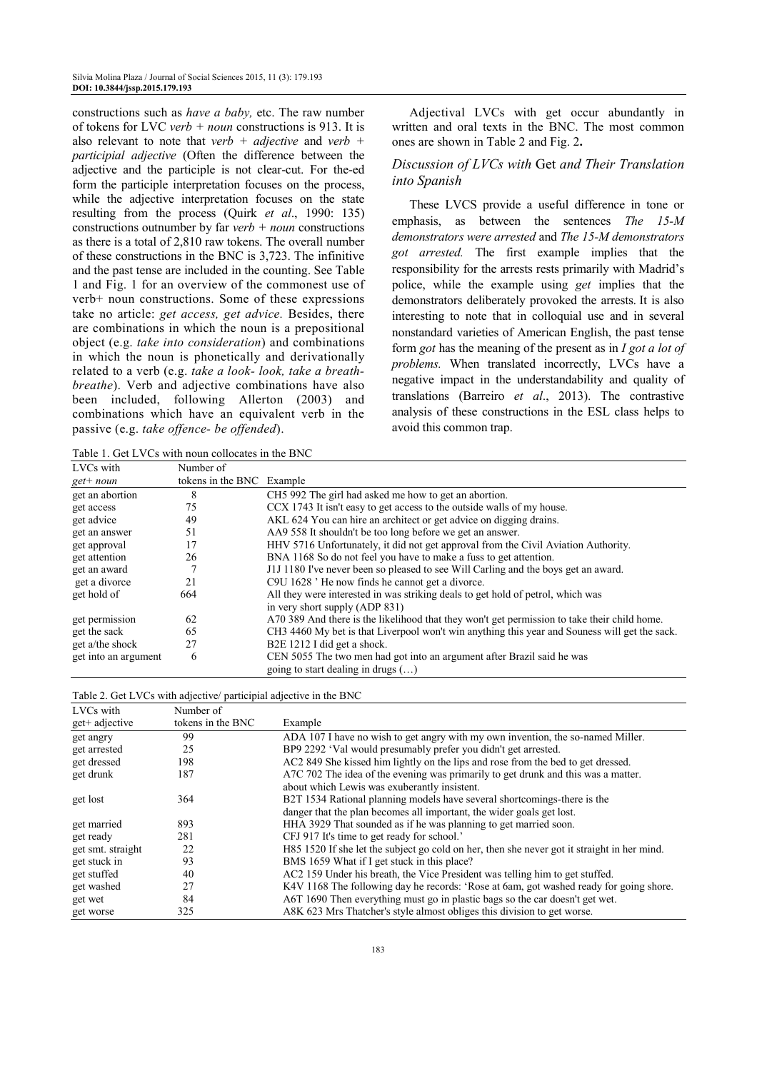constructions such as *have a baby,* etc. The raw number of tokens for LVC *verb + noun* constructions is 913. It is also relevant to note that *verb + adjective* and *verb + participial adjective* (Often the difference between the adjective and the participle is not clear-cut. For the-ed form the participle interpretation focuses on the process, while the adjective interpretation focuses on the state resulting from the process (Quirk *et al*., 1990: 135) constructions outnumber by far *verb + noun* constructions as there is a total of 2,810 raw tokens. The overall number of these constructions in the BNC is 3,723. The infinitive and the past tense are included in the counting. See Table 1 and Fig. 1 for an overview of the commonest use of verb+ noun constructions. Some of these expressions take no article: *get access, get advice.* Besides, there are combinations in which the noun is a prepositional object (e.g. *take into consideration*) and combinations in which the noun is phonetically and derivationally related to a verb (e.g. *take a look- look, take a breathbreathe*). Verb and adjective combinations have also been included, following Allerton (2003) and combinations which have an equivalent verb in the passive (e.g. *take offence- be offended*).

Adjectival LVCs with get occur abundantly in written and oral texts in the BNC. The most common ones are shown in Table 2 and Fig. 2**.** 

## *Discussion of LVCs with* Get *and Their Translation into Spanish*

These LVCS provide a useful difference in tone or emphasis, as between the sentences *The 15-M demonstrators were arrested* and *The 15-M demonstrators got arrested.* The first example implies that the responsibility for the arrests rests primarily with Madrid's police, while the example using *get* implies that the demonstrators deliberately provoked the arrests. It is also interesting to note that in colloquial use and in several nonstandard varieties of American English, the past tense form *got* has the meaning of the present as in *I got a lot of problems.* When translated incorrectly, LVCs have a negative impact in the understandability and quality of translations (Barreiro *et al*., 2013). The contrastive analysis of these constructions in the ESL class helps to avoid this common trap.

Table 1. Get LVCs with noun collocates in the BNC

| LVCs with            | Number of                 |                                                                                               |
|----------------------|---------------------------|-----------------------------------------------------------------------------------------------|
| $get+$ noun          | tokens in the BNC Example |                                                                                               |
| get an abortion      | 8                         | CH <sub>5</sub> 992 The girl had asked me how to get an abortion.                             |
| get access           | 75                        | CCX 1743 It isn't easy to get access to the outside walls of my house.                        |
| get advice           | 49                        | AKL 624 You can hire an architect or get advice on digging drains.                            |
| get an answer        | 51                        | AA9 558 It shouldn't be too long before we get an answer.                                     |
| get approval         | 17                        | HHV 5716 Unfortunately, it did not get approval from the Civil Aviation Authority.            |
| get attention        | 26                        | BNA 1168 So do not feel you have to make a fuss to get attention.                             |
| get an award         |                           | J1J 1180 I've never been so pleased to see Will Carling and the boys get an award.            |
| get a divorce        | 21                        | C9U 1628 'He now finds he cannot get a divorce.                                               |
| get hold of          | 664                       | All they were interested in was striking deals to get hold of petrol, which was               |
|                      |                           | in very short supply (ADP 831)                                                                |
| get permission       | 62                        | A 70 389 And there is the likelihood that they won't get permission to take their child home. |
| get the sack         | 65                        | CH3 4460 My bet is that Liverpool won't win anything this year and Souness will get the sack. |
| get a/the shock      | 27                        | B <sub>2</sub> E 1212 I did get a shock.                                                      |
| get into an argument | 6                         | CEN 5055 The two men had got into an argument after Brazil said he was                        |
|                      |                           | going to start dealing in drugs $(\dots)$                                                     |

|                             | Table 2. Get LVCs with adjective/ participial adjective in the BNC |
|-----------------------------|--------------------------------------------------------------------|
| $T_{1}T_{1}T_{2}T_{n}T_{n}$ | $\mathcal{M}$ $\mathcal{L}$ $\mathcal{L}$                          |

| tokens in the BNC<br>get+ adjective<br>Example<br>ADA 107 I have no wish to get angry with my own invention, the so-named Miller.<br>99<br>get angry<br>BP9 2292 'Val would presumably prefer you didn't get arrested.<br>25<br>get arrested<br>AC2 849 She kissed him lightly on the lips and rose from the bed to get dressed.<br>get dressed<br>198<br>A7C 702 The idea of the evening was primarily to get drunk and this was a matter.<br>get drunk<br>187<br>about which Lewis was exuberantly insistent.<br>B2T 1534 Rational planning models have several shortcomings-there is the<br>364<br>get lost<br>danger that the plan becomes all important, the wider goals get lost.<br>HHA 3929 That sounded as if he was planning to get married soon.<br>893<br>get married<br>CFJ 917 It's time to get ready for school.'<br>281<br>get ready<br>get smt. straight<br>H85 1520 If she let the subject go cold on her, then she never got it straight in her mind.<br>22<br>BMS 1659 What if I get stuck in this place?<br>93<br>get stuck in<br>AC2 159 Under his breath, the Vice President was telling him to get stuffed.<br>get stuffed<br>40<br>K4V 1168 The following day he records: 'Rose at 6am, got washed ready for going shore.<br>27<br>get washed<br>A6T 1690 Then everything must go in plastic bags so the car doesn't get wet.<br>84<br>get wet<br>A8K 623 Mrs Thatcher's style almost obliges this division to get worse.<br>325<br>get worse | LVUS WILLE | <b>NUTHER</b> OF |  |
|------------------------------------------------------------------------------------------------------------------------------------------------------------------------------------------------------------------------------------------------------------------------------------------------------------------------------------------------------------------------------------------------------------------------------------------------------------------------------------------------------------------------------------------------------------------------------------------------------------------------------------------------------------------------------------------------------------------------------------------------------------------------------------------------------------------------------------------------------------------------------------------------------------------------------------------------------------------------------------------------------------------------------------------------------------------------------------------------------------------------------------------------------------------------------------------------------------------------------------------------------------------------------------------------------------------------------------------------------------------------------------------------------------------------------------------------------------------------|------------|------------------|--|
|                                                                                                                                                                                                                                                                                                                                                                                                                                                                                                                                                                                                                                                                                                                                                                                                                                                                                                                                                                                                                                                                                                                                                                                                                                                                                                                                                                                                                                                                        |            |                  |  |
|                                                                                                                                                                                                                                                                                                                                                                                                                                                                                                                                                                                                                                                                                                                                                                                                                                                                                                                                                                                                                                                                                                                                                                                                                                                                                                                                                                                                                                                                        |            |                  |  |
|                                                                                                                                                                                                                                                                                                                                                                                                                                                                                                                                                                                                                                                                                                                                                                                                                                                                                                                                                                                                                                                                                                                                                                                                                                                                                                                                                                                                                                                                        |            |                  |  |
|                                                                                                                                                                                                                                                                                                                                                                                                                                                                                                                                                                                                                                                                                                                                                                                                                                                                                                                                                                                                                                                                                                                                                                                                                                                                                                                                                                                                                                                                        |            |                  |  |
|                                                                                                                                                                                                                                                                                                                                                                                                                                                                                                                                                                                                                                                                                                                                                                                                                                                                                                                                                                                                                                                                                                                                                                                                                                                                                                                                                                                                                                                                        |            |                  |  |
|                                                                                                                                                                                                                                                                                                                                                                                                                                                                                                                                                                                                                                                                                                                                                                                                                                                                                                                                                                                                                                                                                                                                                                                                                                                                                                                                                                                                                                                                        |            |                  |  |
|                                                                                                                                                                                                                                                                                                                                                                                                                                                                                                                                                                                                                                                                                                                                                                                                                                                                                                                                                                                                                                                                                                                                                                                                                                                                                                                                                                                                                                                                        |            |                  |  |
|                                                                                                                                                                                                                                                                                                                                                                                                                                                                                                                                                                                                                                                                                                                                                                                                                                                                                                                                                                                                                                                                                                                                                                                                                                                                                                                                                                                                                                                                        |            |                  |  |
|                                                                                                                                                                                                                                                                                                                                                                                                                                                                                                                                                                                                                                                                                                                                                                                                                                                                                                                                                                                                                                                                                                                                                                                                                                                                                                                                                                                                                                                                        |            |                  |  |
|                                                                                                                                                                                                                                                                                                                                                                                                                                                                                                                                                                                                                                                                                                                                                                                                                                                                                                                                                                                                                                                                                                                                                                                                                                                                                                                                                                                                                                                                        |            |                  |  |
|                                                                                                                                                                                                                                                                                                                                                                                                                                                                                                                                                                                                                                                                                                                                                                                                                                                                                                                                                                                                                                                                                                                                                                                                                                                                                                                                                                                                                                                                        |            |                  |  |
|                                                                                                                                                                                                                                                                                                                                                                                                                                                                                                                                                                                                                                                                                                                                                                                                                                                                                                                                                                                                                                                                                                                                                                                                                                                                                                                                                                                                                                                                        |            |                  |  |
|                                                                                                                                                                                                                                                                                                                                                                                                                                                                                                                                                                                                                                                                                                                                                                                                                                                                                                                                                                                                                                                                                                                                                                                                                                                                                                                                                                                                                                                                        |            |                  |  |
|                                                                                                                                                                                                                                                                                                                                                                                                                                                                                                                                                                                                                                                                                                                                                                                                                                                                                                                                                                                                                                                                                                                                                                                                                                                                                                                                                                                                                                                                        |            |                  |  |
|                                                                                                                                                                                                                                                                                                                                                                                                                                                                                                                                                                                                                                                                                                                                                                                                                                                                                                                                                                                                                                                                                                                                                                                                                                                                                                                                                                                                                                                                        |            |                  |  |
|                                                                                                                                                                                                                                                                                                                                                                                                                                                                                                                                                                                                                                                                                                                                                                                                                                                                                                                                                                                                                                                                                                                                                                                                                                                                                                                                                                                                                                                                        |            |                  |  |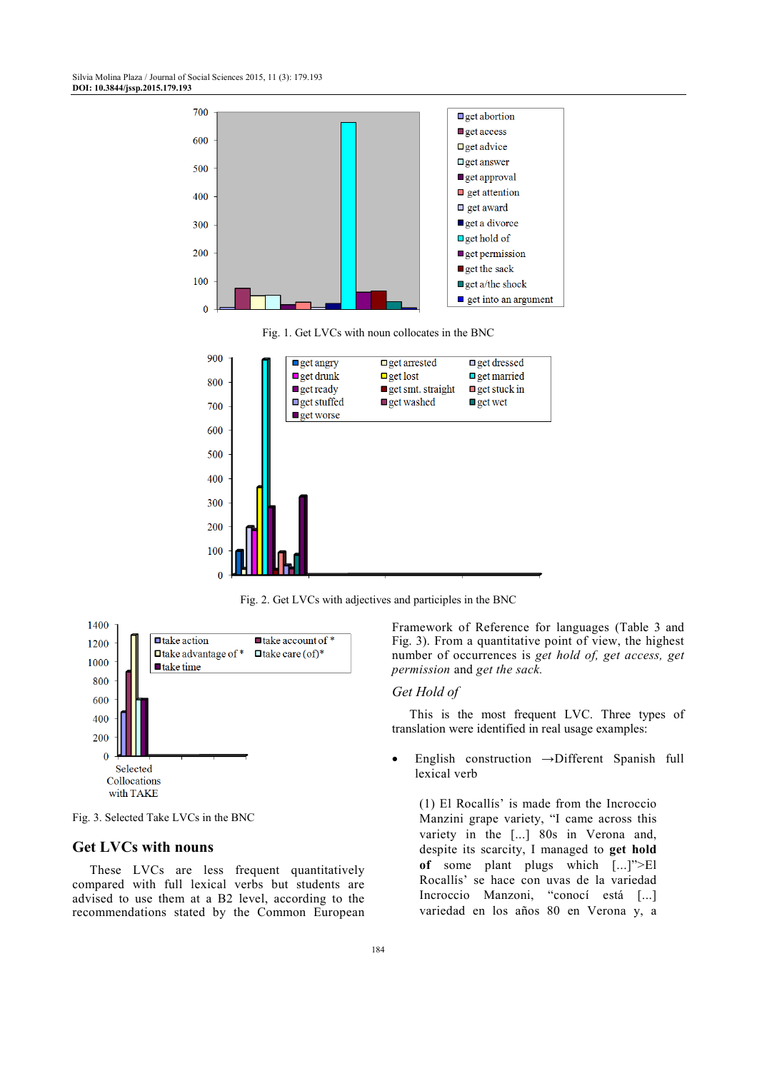

Fig. 2. Get LVCs with adjectives and participles in the BNC



Fig. 3. Selected Take LVCs in the BNC

# **Get LVCs with nouns**

These LVCs are less frequent quantitatively compared with full lexical verbs but students are advised to use them at a B2 level, according to the recommendations stated by the Common European Framework of Reference for languages (Table 3 and Fig. 3). From a quantitative point of view, the highest number of occurrences is *get hold of, get access, get permission* and *get the sack.* 

#### *Get Hold of*

This is the most frequent LVC. Three types of translation were identified in real usage examples:

• English construction **→**Different Spanish full lexical verb

(1) El Rocallís' is made from the Incroccio Manzini grape variety, "I came across this variety in the [...] 80s in Verona and, despite its scarcity, I managed to **get hold of** some plant plugs which [...]">El Rocallís' se hace con uvas de la variedad Incroccio Manzoni, "conocí está [...] variedad en los años 80 en Verona y, a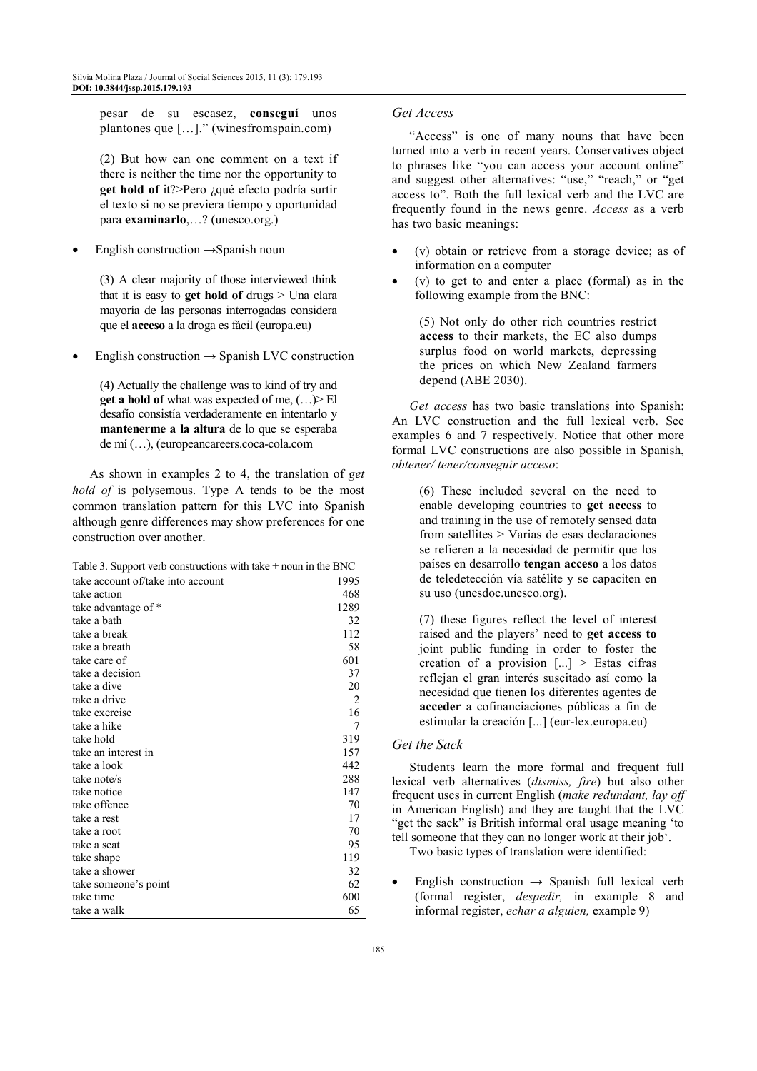pesar de su escasez, **conseguí** unos plantones que […]." (winesfromspain.com)

(2) But how can one comment on a text if there is neither the time nor the opportunity to **get hold of** it?>Pero ¿qué efecto podría surtir el texto si no se previera tiempo y oportunidad para **examinarlo**,…? (unesco.org.)

English construction  $\rightarrow$ Spanish noun

(3) A clear majority of those interviewed think that it is easy to **get hold of** drugs > Una clara mayoría de las personas interrogadas considera que el **acceso** a la droga es fácil (europa.eu)

English construction  $\rightarrow$  Spanish LVC construction

(4) Actually the challenge was to kind of try and **get a hold of** what was expected of me, (…)> El desafío consistía verdaderamente en intentarlo y **mantenerme a la altura** de lo que se esperaba de mí (…), (europeancareers.coca-cola.com

As shown in examples 2 to 4, the translation of *get hold of* is polysemous. Type A tends to be the most common translation pattern for this LVC into Spanish although genre differences may show preferences for one construction over another.

| Table 3. Support verb constructions with take + noun in the BNC |  |
|-----------------------------------------------------------------|--|
|-----------------------------------------------------------------|--|

| take account of/take into account | 1995 |
|-----------------------------------|------|
| take action                       | 468  |
| take advantage of *               | 1289 |
| take a bath                       | 32   |
| take a break                      | 112  |
| take a breath                     | 58   |
| take care of                      | 601  |
| take a decision                   | 37   |
| take a dive                       | 20   |
| take a drive                      | 2    |
| take exercise                     | 16   |
| take a hike                       | 7    |
| take hold                         | 319  |
| take an interest in               | 157  |
| take a look                       | 442  |
| take note/s                       | 288  |
| take notice                       | 147  |
| take offence                      | 70   |
| take a rest                       | 17   |
| take a root                       | 70   |
| take a seat                       | 95   |
| take shape                        | 119  |
| take a shower                     | 32   |
| take someone's point              | 62   |
| take time                         | 600  |
| take a walk                       | 65   |

## *Get Access*

"Access" is one of many nouns that have been turned into a verb in recent years. Conservatives object to phrases like "you can access your account online" and suggest other alternatives: "use," "reach," or "get access to". Both the full lexical verb and the LVC are frequently found in the news genre. *Access* as a verb has two basic meanings:

- (v) obtain or retrieve from a storage device; as of information on a computer
- $(v)$  to get to and enter a place (formal) as in the following example from the BNC:

(5) Not only do other rich countries restrict **access** to their markets, the EC also dumps surplus food on world markets, depressing the prices on which New Zealand farmers depend (ABE 2030).

*Get access* has two basic translations into Spanish: An LVC construction and the full lexical verb. See examples 6 and 7 respectively. Notice that other more formal LVC constructions are also possible in Spanish, *obtener/ tener/conseguir acceso*:

(6) These included several on the need to enable developing countries to **get access** to and training in the use of remotely sensed data from satellites > Varias de esas declaraciones se refieren a la necesidad de permitir que los países en desarrollo **tengan acceso** a los datos de teledetección vía satélite y se capaciten en su uso (unesdoc.unesco.org).

(7) these figures reflect the level of interest raised and the players' need to **get access to** joint public funding in order to foster the creation of a provision [...] > Estas cifras reflejan el gran interés suscitado así como la necesidad que tienen los diferentes agentes de **acceder** a cofinanciaciones públicas a fin de estimular la creación [...] (eur-lex.europa.eu)

#### *Get the Sack*

Students learn the more formal and frequent full lexical verb alternatives (*dismiss, fire*) but also other frequent uses in current English (*make redundant, lay off* in American English) and they are taught that the LVC "get the sack" is British informal oral usage meaning 'to tell someone that they can no longer work at their job'.

Two basic types of translation were identified:

English construction  $\rightarrow$  Spanish full lexical verb (formal register, *despedir,* in example 8 and informal register, *echar a alguien,* example 9)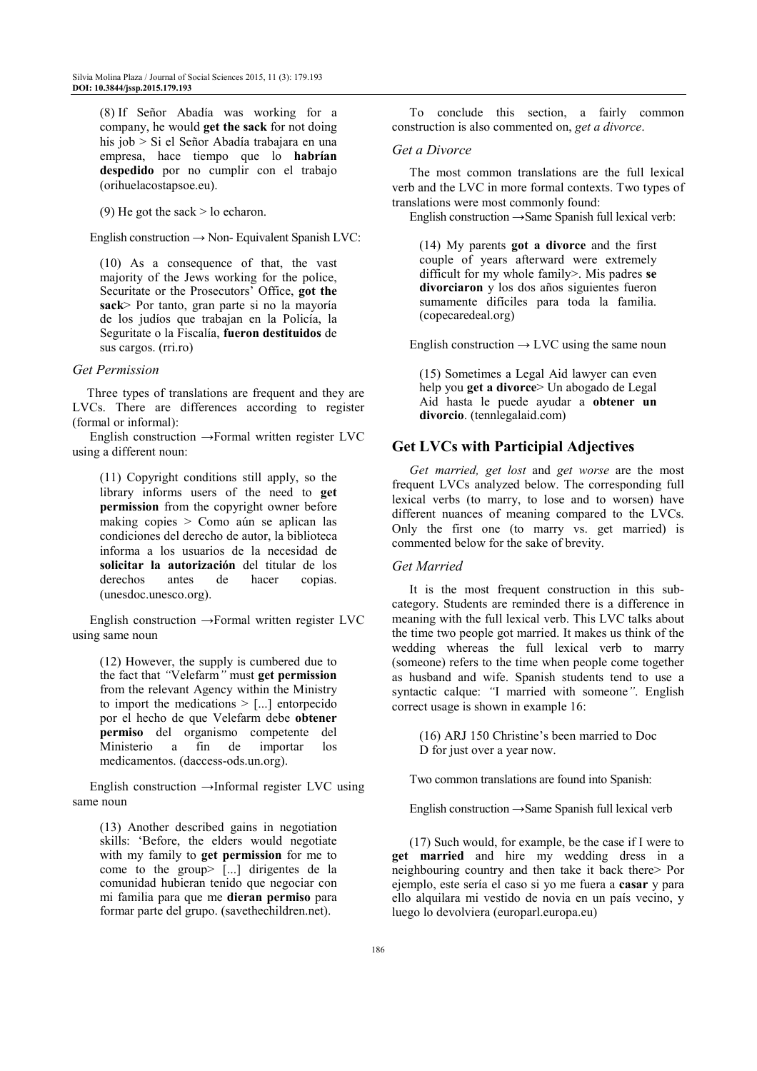(8) If Señor Abadía was working for a company, he would **get the sack** for not doing his job > Si el Señor Abadía trabajara en una empresa, hace tiempo que lo **habrían despedido** por no cumplir con el trabajo (orihuelacostapsoe.eu).

(9) He got the sack  $>$  lo echaron.

English construction  $\rightarrow$  Non-Equivalent Spanish LVC:

(10) As a consequence of that, the vast majority of the Jews working for the police, Securitate or the Prosecutors' Office, **got the sack**> Por tanto, gran parte si no la mayoría de los judíos que trabajan en la Policía, la Seguritate o la Fiscalía, **fueron destituidos** de sus cargos. (rri.ro)

#### *Get Permission*

Three types of translations are frequent and they are LVCs. There are differences according to register (formal or informal):

English construction →Formal written register LVC using a different noun:

(11) Copyright conditions still apply, so the library informs users of the need to **get permission** from the copyright owner before making copies > Como aún se aplican las condiciones del derecho de autor, la biblioteca informa a los usuarios de la necesidad de **solicitar la autorización** del titular de los<br>derechos antes de hacer conjas derechos antes de hacer copias. (unesdoc.unesco.org).

English construction →Formal written register LVC using same noun

(12) However, the supply is cumbered due to the fact that *"*Velefarm*"* must **get permission** from the relevant Agency within the Ministry to import the medications  $>$  [...] entorpecido por el hecho de que Velefarm debe **obtener permiso** del organismo competente del Ministerio a fin de importar los medicamentos. (daccess-ods.un.org).

English construction →Informal register LVC using same noun

(13) Another described gains in negotiation skills: 'Before, the elders would negotiate with my family to **get permission** for me to come to the group> [...] dirigentes de la comunidad hubieran tenido que negociar con mi familia para que me **dieran permiso** para formar parte del grupo. (savethechildren.net).

To conclude this section, a fairly common construction is also commented on, *get a divorce*.

#### *Get a Divorce*

The most common translations are the full lexical verb and the LVC in more formal contexts. Two types of translations were most commonly found:

English construction **→**Same Spanish full lexical verb:

(14) My parents **got a divorce** and the first couple of years afterward were extremely difficult for my whole family>. Mis padres **se divorciaron** y los dos años siguientes fueron sumamente difíciles para toda la familia. (copecaredeal.org)

English construction  $\rightarrow$  LVC using the same noun

(15) Sometimes a Legal Aid lawyer can even help you **get a divorce**> Un abogado de Legal Aid hasta le puede ayudar a **obtener un divorcio**. (tennlegalaid.com)

# **Get LVCs with Participial Adjectives**

*Get married, get lost* and *get worse* are the most frequent LVCs analyzed below. The corresponding full lexical verbs (to marry, to lose and to worsen) have different nuances of meaning compared to the LVCs. Only the first one (to marry vs. get married) is commented below for the sake of brevity.

#### *Get Married*

It is the most frequent construction in this subcategory. Students are reminded there is a difference in meaning with the full lexical verb. This LVC talks about the time two people got married. It makes us think of the wedding whereas the full lexical verb to marry (someone) refers to the time when people come together as husband and wife. Spanish students tend to use a syntactic calque: *"*I married with someone*"*. English correct usage is shown in example 16:

(16) ARJ 150 Christine's been married to Doc D for just over a year now.

Two common translations are found into Spanish:

English construction **→**Same Spanish full lexical verb

(17) Such would, for example, be the case if I were to **get married** and hire my wedding dress in a neighbouring country and then take it back there> Por ejemplo, este sería el caso si yo me fuera a **casar** y para ello alquilara mi vestido de novia en un país vecino, y luego lo devolviera (europarl.europa.eu)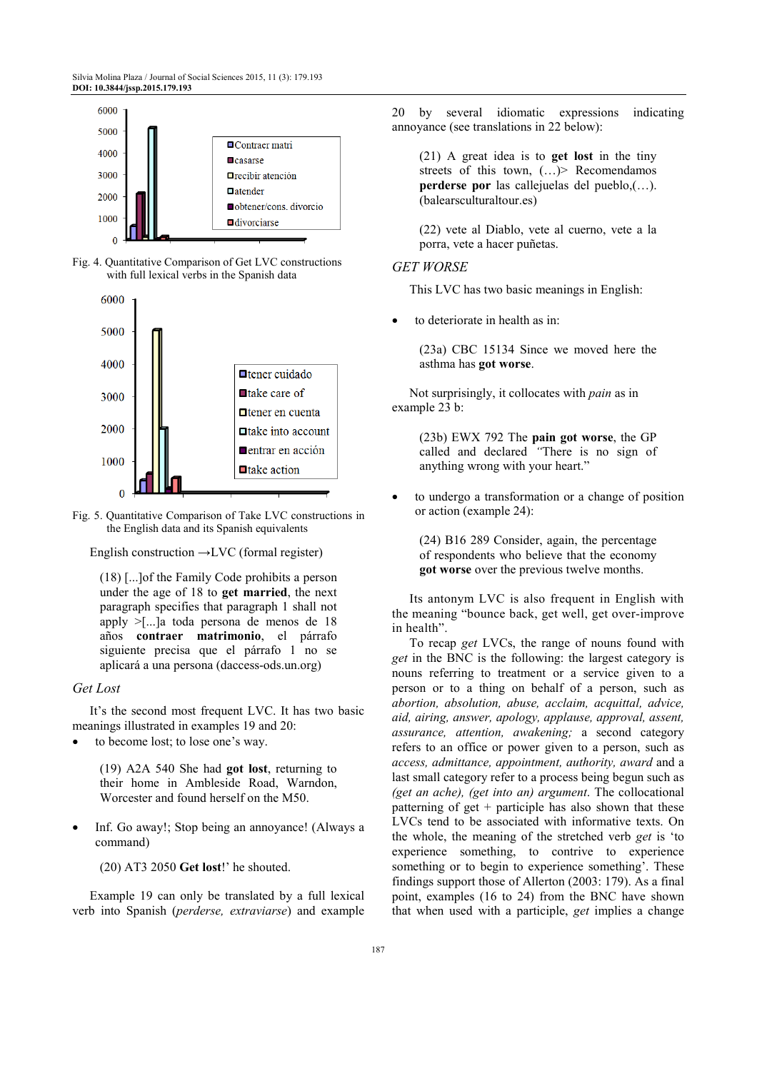

Fig. 4. Quantitative Comparison of Get LVC constructions with full lexical verbs in the Spanish data



Fig. 5. Quantitative Comparison of Take LVC constructions in the English data and its Spanish equivalents

English construction **→**LVC (formal register)

(18) [...]of the Family Code prohibits a person under the age of 18 to **get married**, the next paragraph specifies that paragraph 1 shall not apply >[...]a toda persona de menos de 18 años **contraer matrimonio**, el párrafo siguiente precisa que el párrafo 1 no se aplicará a una persona (daccess-ods.un.org)

#### *Get Lost*

It's the second most frequent LVC. It has two basic meanings illustrated in examples 19 and 20:

to become lost; to lose one's way.

(19) A2A 540 She had **got lost**, returning to their home in Ambleside Road, Warndon, Worcester and found herself on the M50.

Inf. Go away!; Stop being an annoyance! (Always a command)

(20) AT3 2050 **Get lost**!' he shouted.

Example 19 can only be translated by a full lexical verb into Spanish (*perderse, extraviarse*) and example 20 by several idiomatic expressions indicating annoyance (see translations in 22 below):

(21) A great idea is to **get lost** in the tiny streets of this town,  $(...)$  Recomendamos **perderse por** las callejuelas del pueblo,(…). (balearsculturaltour.es)

(22) vete al Diablo, vete al cuerno, vete a la porra, vete a hacer puñetas.

#### *GET WORSE*

This LVC has two basic meanings in English:

to deteriorate in health as in:

(23a) CBC 15134 Since we moved here the asthma has **got worse**.

Not surprisingly, it collocates with *pain* as in example 23 b:

> (23b) EWX 792 The **pain got worse**, the GP called and declared *"*There is no sign of anything wrong with your heart."

• to undergo a transformation or a change of position or action (example 24):

(24) B16 289 Consider, again, the percentage of respondents who believe that the economy **got worse** over the previous twelve months.

Its antonym LVC is also frequent in English with the meaning "bounce back, get well, get over-improve in health".

To recap *get* LVCs, the range of nouns found with *get* in the BNC is the following: the largest category is nouns referring to treatment or a service given to a person or to a thing on behalf of a person, such as *abortion, absolution, abuse, acclaim, acquittal, advice, aid, airing, answer, apology, applause, approval, assent, assurance, attention, awakening;* a second category refers to an office or power given to a person, such as *access, admittance, appointment, authority, award* and a last small category refer to a process being begun such as *(get an ache), (get into an) argument*. The collocational patterning of get  $+$  participle has also shown that these LVCs tend to be associated with informative texts. On the whole, the meaning of the stretched verb *get* is 'to experience something, to contrive to experience something or to begin to experience something'. These findings support those of Allerton (2003: 179). As a final point, examples (16 to 24) from the BNC have shown that when used with a participle, *get* implies a change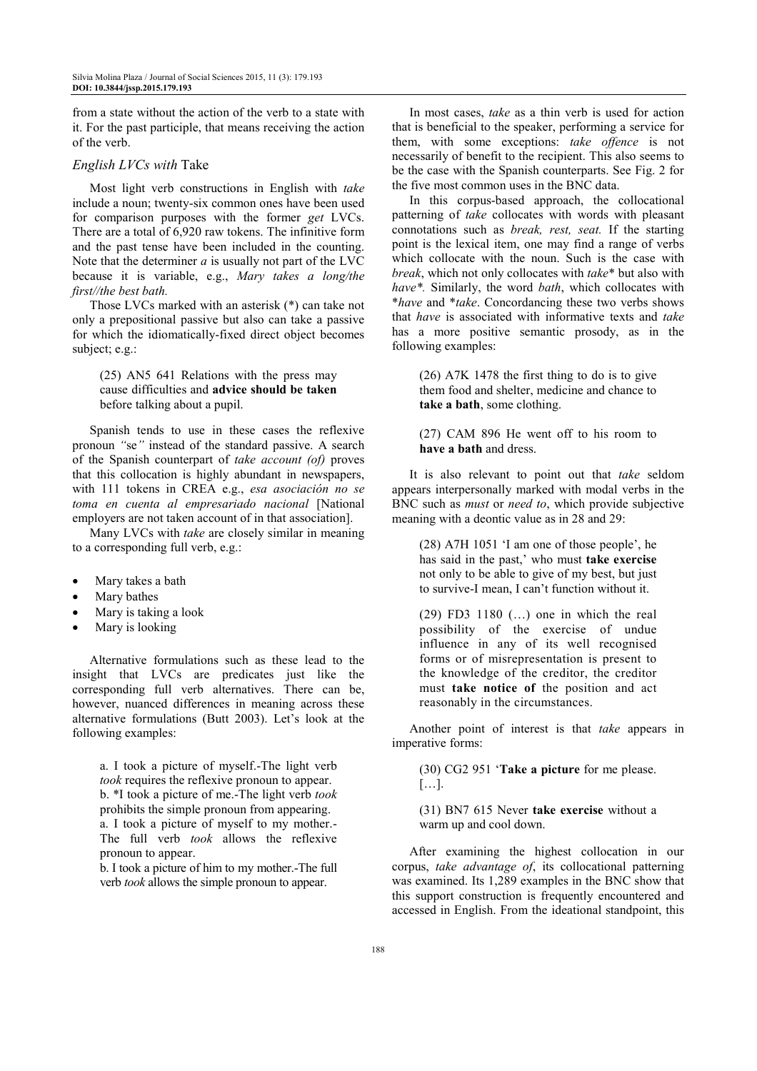from a state without the action of the verb to a state with it. For the past participle, that means receiving the action of the verb.

#### *English LVCs with* Take

Most light verb constructions in English with *take* include a noun; twenty-six common ones have been used for comparison purposes with the former *get* LVCs. There are a total of 6,920 raw tokens. The infinitive form and the past tense have been included in the counting. Note that the determiner *a* is usually not part of the LVC because it is variable, e.g., *Mary takes a long/the first//the best bath.* 

Those LVCs marked with an asterisk (\*) can take not only a prepositional passive but also can take a passive for which the idiomatically-fixed direct object becomes subject; e.g.:

(25) AN5 641 Relations with the press may cause difficulties and **advice should be taken** before talking about a pupil.

Spanish tends to use in these cases the reflexive pronoun *"*se*"* instead of the standard passive. A search of the Spanish counterpart of *take account (of)* proves that this collocation is highly abundant in newspapers, with 111 tokens in CREA e.g., *esa asociación no se toma en cuenta al empresariado nacional* [National employers are not taken account of in that association].

Many LVCs with *take* are closely similar in meaning to a corresponding full verb, e.g.:

- Mary takes a bath
- Mary bathes
- Mary is taking a look
- Mary is looking

Alternative formulations such as these lead to the insight that LVCs are predicates just like the corresponding full verb alternatives. There can be, however, nuanced differences in meaning across these alternative formulations (Butt 2003). Let's look at the following examples:

a. I took a picture of myself.-The light verb *took* requires the reflexive pronoun to appear. b. \*I took a picture of me.-The light verb *took* prohibits the simple pronoun from appearing. a. I took a picture of myself to my mother.- The full verb *took* allows the reflexive pronoun to appear.

b. I took a picture of him to my mother.-The full verb *took* allows the simple pronoun to appear.

In most cases, *take* as a thin verb is used for action that is beneficial to the speaker, performing a service for them, with some exceptions: *take offence* is not necessarily of benefit to the recipient. This also seems to be the case with the Spanish counterparts. See Fig. 2 for the five most common uses in the BNC data.

In this corpus-based approach, the collocational patterning of *take* collocates with words with pleasant connotations such as *break, rest, seat.* If the starting point is the lexical item, one may find a range of verbs which collocate with the noun. Such is the case with *break*, which not only collocates with *take*\* but also with *have\*.* Similarly, the word *bath*, which collocates with \**have* and \**take*. Concordancing these two verbs shows that *have* is associated with informative texts and *take* has a more positive semantic prosody, as in the following examples:

(26) A7K 1478 the first thing to do is to give them food and shelter, medicine and chance to **take a bath**, some clothing.

(27) CAM 896 He went off to his room to **have a bath** and dress.

It is also relevant to point out that *take* seldom appears interpersonally marked with modal verbs in the BNC such as *must* or *need to*, which provide subjective meaning with a deontic value as in 28 and 29:

(28) A7H 1051 'I am one of those people', he has said in the past,' who must **take exercise** not only to be able to give of my best, but just to survive-I mean, I can't function without it.

(29) FD3 1180 (…) one in which the real possibility of the exercise of undue influence in any of its well recognised forms or of misrepresentation is present to the knowledge of the creditor, the creditor must **take notice of** the position and act reasonably in the circumstances.

Another point of interest is that *take* appears in imperative forms:

(30) CG2 951 '**Take a picture** for me please. […].

(31) BN7 615 Never **take exercise** without a warm up and cool down.

After examining the highest collocation in our corpus, *take advantage of*, its collocational patterning was examined. Its 1,289 examples in the BNC show that this support construction is frequently encountered and accessed in English. From the ideational standpoint, this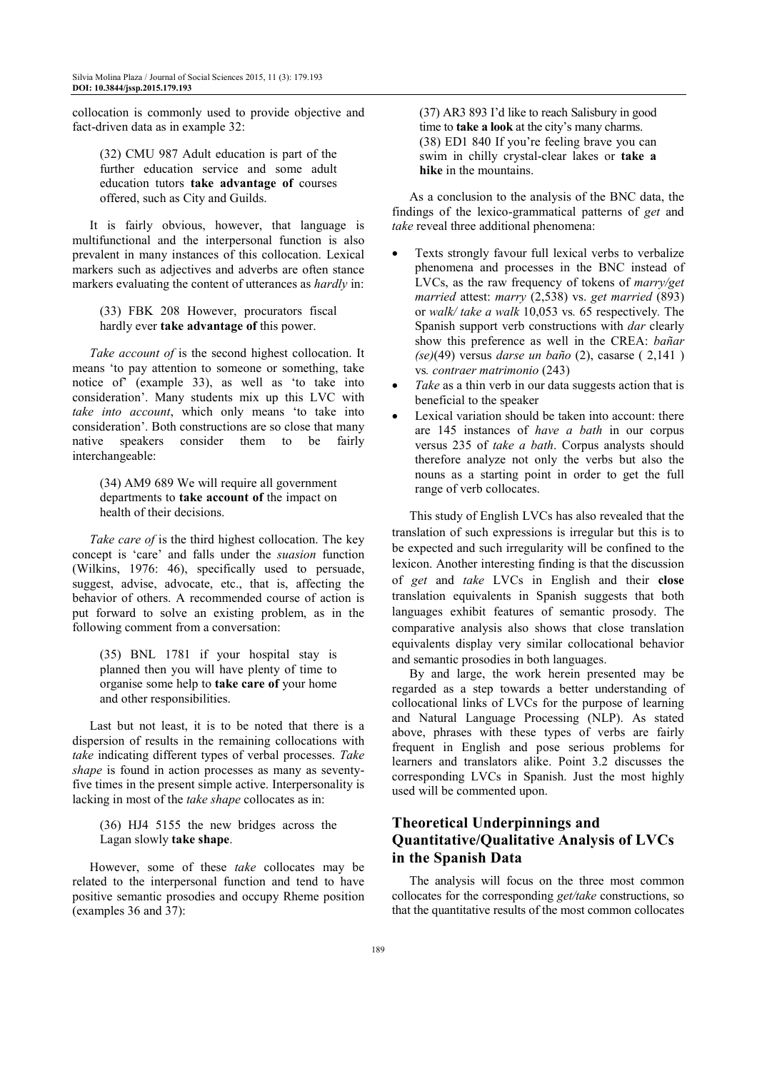collocation is commonly used to provide objective and fact-driven data as in example 32:

(32) CMU 987 Adult education is part of the further education service and some adult education tutors **take advantage of** courses offered, such as City and Guilds.

It is fairly obvious, however, that language is multifunctional and the interpersonal function is also prevalent in many instances of this collocation. Lexical markers such as adjectives and adverbs are often stance markers evaluating the content of utterances as *hardly* in:

(33) FBK 208 However, procurators fiscal hardly ever **take advantage of** this power.

*Take account of is the second highest collocation. It* means 'to pay attention to someone or something, take notice of' (example 33), as well as 'to take into consideration'. Many students mix up this LVC with *take into account*, which only means 'to take into consideration'. Both constructions are so close that many native speakers consider them to be fairly interchangeable:

(34) AM9 689 We will require all government departments to **take account of** the impact on health of their decisions.

*Take care of* is the third highest collocation. The key concept is 'care' and falls under the *suasion* function (Wilkins, 1976: 46), specifically used to persuade, suggest, advise, advocate, etc., that is, affecting the behavior of others. A recommended course of action is put forward to solve an existing problem, as in the following comment from a conversation:

(35) BNL 1781 if your hospital stay is planned then you will have plenty of time to organise some help to **take care of** your home and other responsibilities.

Last but not least, it is to be noted that there is a dispersion of results in the remaining collocations with *take* indicating different types of verbal processes. *Take shape* is found in action processes as many as seventyfive times in the present simple active. Interpersonality is lacking in most of the *take shape* collocates as in:

(36) HJ4 5155 the new bridges across the Lagan slowly **take shape**.

However, some of these *take* collocates may be related to the interpersonal function and tend to have positive semantic prosodies and occupy Rheme position (examples 36 and 37):

(37) AR3 893 I'd like to reach Salisbury in good time to **take a look** at the city's many charms. (38) ED1 840 If you're feeling brave you can swim in chilly crystal-clear lakes or **take a hike** in the mountains.

As a conclusion to the analysis of the BNC data, the findings of the lexico-grammatical patterns of *get* and *take* reveal three additional phenomena:

- Texts strongly favour full lexical verbs to verbalize phenomena and processes in the BNC instead of LVCs, as the raw frequency of tokens of *marry/get married* attest: *marry* (2,538) vs. *get married* (893) or *walk/ take a walk* 10,053 vs*.* 65 respectively*.* The Spanish support verb constructions with *dar* clearly show this preference as well in the CREA: *bañar (se)*(49) versus *darse un baño* (2), casarse ( 2,141 ) vs*. contraer matrimonio* (243)
- *Take* as a thin verb in our data suggests action that is beneficial to the speaker
- Lexical variation should be taken into account: there are 145 instances of *have a bath* in our corpus versus 235 of *take a bath*. Corpus analysts should therefore analyze not only the verbs but also the nouns as a starting point in order to get the full range of verb collocates.

This study of English LVCs has also revealed that the translation of such expressions is irregular but this is to be expected and such irregularity will be confined to the lexicon. Another interesting finding is that the discussion of *get* and *take* LVCs in English and their **close**  translation equivalents in Spanish suggests that both languages exhibit features of semantic prosody. The comparative analysis also shows that close translation equivalents display very similar collocational behavior and semantic prosodies in both languages.

By and large, the work herein presented may be regarded as a step towards a better understanding of collocational links of LVCs for the purpose of learning and Natural Language Processing (NLP). As stated above, phrases with these types of verbs are fairly frequent in English and pose serious problems for learners and translators alike. Point 3.2 discusses the corresponding LVCs in Spanish. Just the most highly used will be commented upon.

# **Theoretical Underpinnings and Quantitative/Qualitative Analysis of LVCs in the Spanish Data**

The analysis will focus on the three most common collocates for the corresponding *get/take* constructions, so that the quantitative results of the most common collocates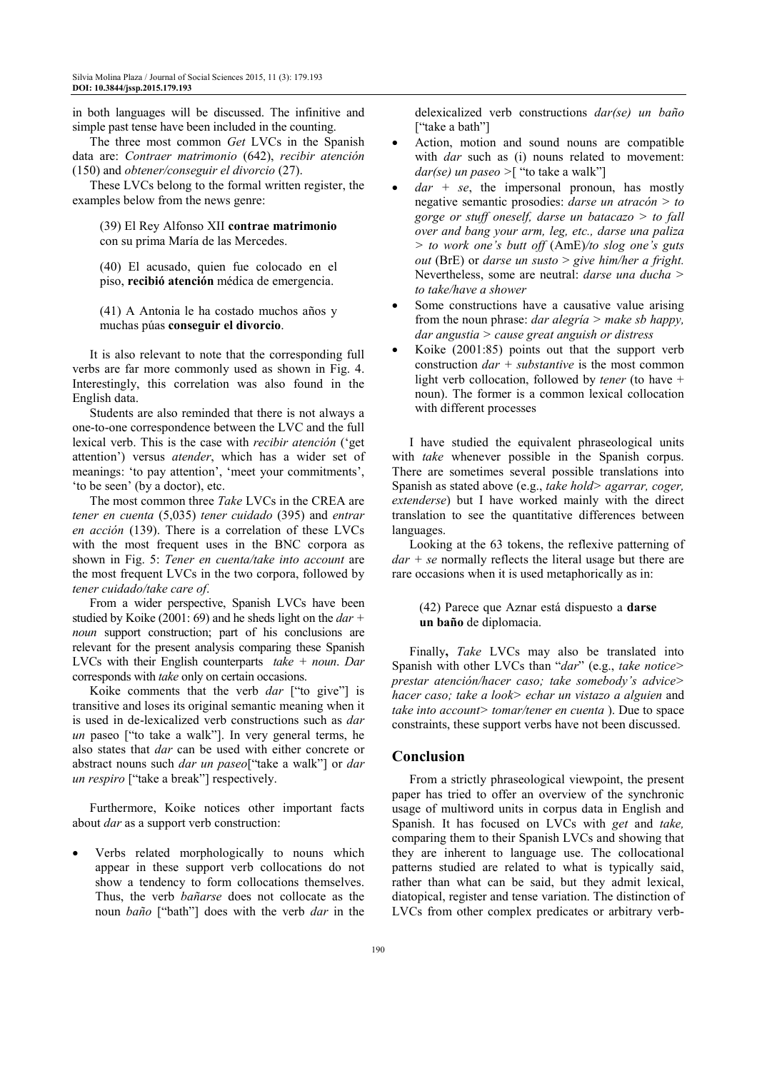in both languages will be discussed. The infinitive and simple past tense have been included in the counting.

The three most common *Get* LVCs in the Spanish data are: *Contraer matrimonio* (642), *recibir atención*  (150) and *obtener/conseguir el divorcio* (27).

These LVCs belong to the formal written register, the examples below from the news genre:

(39) El Rey Alfonso XII **contrae matrimonio** con su prima María de las Mercedes.

(40) El acusado, quien fue colocado en el piso, **recibió atención** médica de emergencia.

(41) A Antonia le ha costado muchos años y muchas púas **conseguir el divorcio**.

It is also relevant to note that the corresponding full verbs are far more commonly used as shown in Fig. 4. Interestingly, this correlation was also found in the English data.

Students are also reminded that there is not always a one-to-one correspondence between the LVC and the full lexical verb. This is the case with *recibir atención* ('get attention') versus *atender*, which has a wider set of meanings: 'to pay attention', 'meet your commitments', 'to be seen' (by a doctor), etc.

The most common three *Take* LVCs in the CREA are *tener en cuenta* (5,035) *tener cuidado* (395) and *entrar en acción* (139). There is a correlation of these LVCs with the most frequent uses in the BNC corpora as shown in Fig. 5: *Tener en cuenta/take into account* are the most frequent LVCs in the two corpora, followed by *tener cuidado/take care of*.

From a wider perspective, Spanish LVCs have been studied by Koike (2001: 69) and he sheds light on the *dar + noun* support construction; part of his conclusions are relevant for the present analysis comparing these Spanish LVCs with their English counterparts *take + noun*. *Dar*  corresponds with *take* only on certain occasions.

Koike comments that the verb *dar* ["to give"] is transitive and loses its original semantic meaning when it is used in de-lexicalized verb constructions such as *dar un* paseo ["to take a walk"]. In very general terms, he also states that *dar* can be used with either concrete or abstract nouns such *dar un paseo*["take a walk"] or *dar un respiro* ["take a break"] respectively.

Furthermore, Koike notices other important facts about *dar* as a support verb construction:

• Verbs related morphologically to nouns which appear in these support verb collocations do not show a tendency to form collocations themselves. Thus, the verb *bañarse* does not collocate as the noun *baño* ["bath"] does with the verb *dar* in the delexicalized verb constructions *dar(se) un baño*  ["take a bath"]

- Action, motion and sound nouns are compatible with *dar* such as (i) nouns related to movement: *dar(se) un paseo >*[ "to take a walk"]
- $dar + se$ , the impersonal pronoun, has mostly negative semantic prosodies: *darse un atracón > to gorge or stuff oneself, darse un batacazo > to fall over and bang your arm, leg, etc., darse una paliza > to work one's butt off* (AmE)*/to slog one's guts out* (BrE) or *darse un susto* > *give him/her a fright.*  Nevertheless, some are neutral: *darse una ducha > to take/have a shower*
- Some constructions have a causative value arising from the noun phrase: *dar alegría > make sb happy, dar angustia > cause great anguish or distress*
- Koike  $(2001:85)$  points out that the support verb construction *dar + substantive* is the most common light verb collocation, followed by *tener* (to have + noun). The former is a common lexical collocation with different processes

I have studied the equivalent phraseological units with *take* whenever possible in the Spanish corpus. There are sometimes several possible translations into Spanish as stated above (e.g., *take hold> agarrar, coger, extenderse*) but I have worked mainly with the direct translation to see the quantitative differences between languages.

Looking at the 63 tokens, the reflexive patterning of *dar + se* normally reflects the literal usage but there are rare occasions when it is used metaphorically as in:

(42) Parece que Aznar está dispuesto a **darse un baño** de diplomacia.

Finally**,** *Take* LVCs may also be translated into Spanish with other LVCs than "*dar*" (e.g., *take notice> prestar atención/hacer caso; take somebody's advice> hacer caso; take a look> echar un vistazo a alguien* and *take into account> tomar/tener en cuenta* ). Due to space constraints, these support verbs have not been discussed.

## **Conclusion**

From a strictly phraseological viewpoint, the present paper has tried to offer an overview of the synchronic usage of multiword units in corpus data in English and Spanish. It has focused on LVCs with *get* and *take,*  comparing them to their Spanish LVCs and showing that they are inherent to language use. The collocational patterns studied are related to what is typically said, rather than what can be said, but they admit lexical, diatopical, register and tense variation. The distinction of LVCs from other complex predicates or arbitrary verb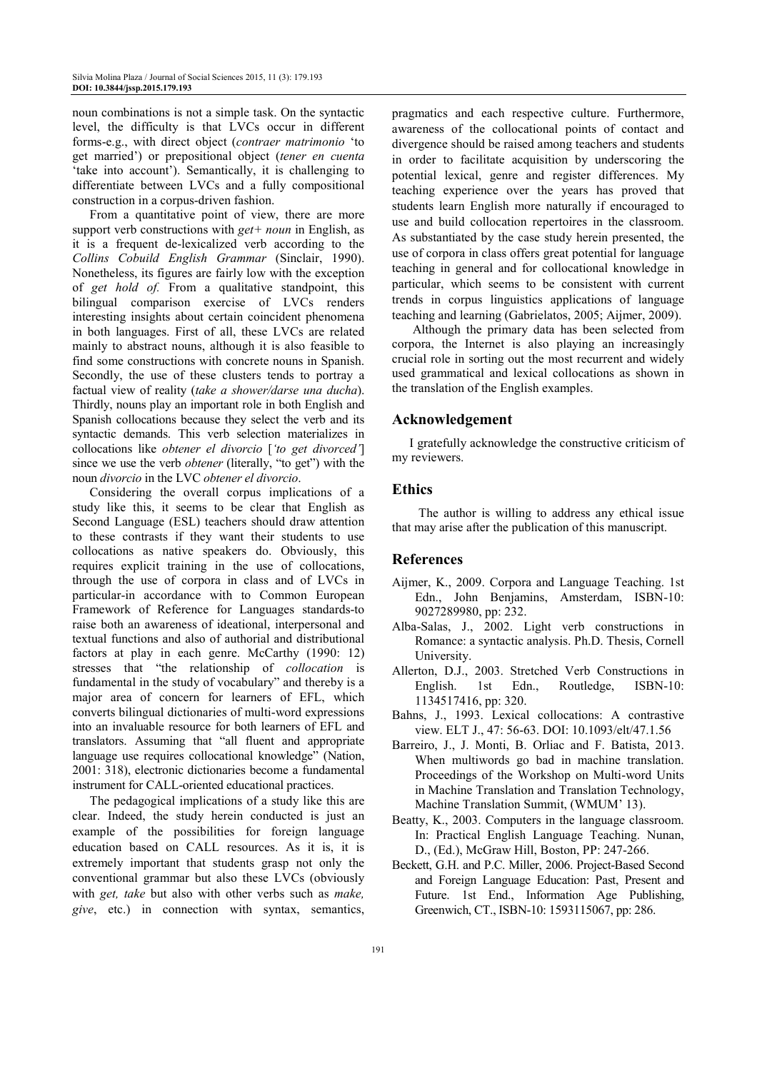noun combinations is not a simple task. On the syntactic level, the difficulty is that LVCs occur in different forms-e.g., with direct object (*contraer matrimonio* 'to get married') or prepositional object (*tener en cuenta* 'take into account'). Semantically, it is challenging to differentiate between LVCs and a fully compositional construction in a corpus-driven fashion.

From a quantitative point of view, there are more support verb constructions with *get+ noun* in English, as it is a frequent de-lexicalized verb according to the *Collins Cobuild English Grammar* (Sinclair, 1990). Nonetheless, its figures are fairly low with the exception of *get hold of.* From a qualitative standpoint, this bilingual comparison exercise of LVCs renders interesting insights about certain coincident phenomena in both languages. First of all, these LVCs are related mainly to abstract nouns, although it is also feasible to find some constructions with concrete nouns in Spanish. Secondly, the use of these clusters tends to portray a factual view of reality (*take a shower/darse una ducha*). Thirdly, nouns play an important role in both English and Spanish collocations because they select the verb and its syntactic demands. This verb selection materializes in collocations like *obtener el divorcio* [*'to get divorced'*] since we use the verb *obtener* (literally, "to get") with the noun *divorcio* in the LVC *obtener el divorcio*.

Considering the overall corpus implications of a study like this, it seems to be clear that English as Second Language (ESL) teachers should draw attention to these contrasts if they want their students to use collocations as native speakers do. Obviously, this requires explicit training in the use of collocations, through the use of corpora in class and of LVCs in particular-in accordance with to Common European Framework of Reference for Languages standards-to raise both an awareness of ideational, interpersonal and textual functions and also of authorial and distributional factors at play in each genre. McCarthy (1990: 12) stresses that "the relationship of *collocation* is fundamental in the study of vocabulary" and thereby is a major area of concern for learners of EFL, which converts bilingual dictionaries of multi-word expressions into an invaluable resource for both learners of EFL and translators. Assuming that "all fluent and appropriate language use requires collocational knowledge" (Nation, 2001: 318), electronic dictionaries become a fundamental instrument for CALL-oriented educational practices.

The pedagogical implications of a study like this are clear. Indeed, the study herein conducted is just an example of the possibilities for foreign language education based on CALL resources. As it is, it is extremely important that students grasp not only the conventional grammar but also these LVCs (obviously with *get, take* but also with other verbs such as *make, give*, etc.) in connection with syntax, semantics,

pragmatics and each respective culture. Furthermore, awareness of the collocational points of contact and divergence should be raised among teachers and students in order to facilitate acquisition by underscoring the potential lexical, genre and register differences. My teaching experience over the years has proved that students learn English more naturally if encouraged to use and build collocation repertoires in the classroom. As substantiated by the case study herein presented, the use of corpora in class offers great potential for language teaching in general and for collocational knowledge in particular, which seems to be consistent with current trends in corpus linguistics applications of language teaching and learning (Gabrielatos, 2005; Aijmer, 2009).

 Although the primary data has been selected from corpora, the Internet is also playing an increasingly crucial role in sorting out the most recurrent and widely used grammatical and lexical collocations as shown in the translation of the English examples.

## **Acknowledgement**

I gratefully acknowledge the constructive criticism of my reviewers.

## **Ethics**

The author is willing to address any ethical issue that may arise after the publication of this manuscript.

#### **References**

- Aijmer, K., 2009. Corpora and Language Teaching. 1st Edn., John Benjamins, Amsterdam, ISBN-10: 9027289980, pp: 232.
- Alba-Salas, J., 2002. Light verb constructions in Romance: a syntactic analysis. Ph.D. Thesis, Cornell University.
- Allerton, D.J., 2003. Stretched Verb Constructions in English. 1st Edn., Routledge, ISBN-10: 1134517416, pp: 320.
- Bahns, J., 1993. Lexical collocations: A contrastive view. ELT J., 47: 56-63. DOI: 10.1093/elt/47.1.56
- Barreiro, J., J. Monti, B. Orliac and F. Batista, 2013. When multiwords go bad in machine translation. Proceedings of the Workshop on Multi-word Units in Machine Translation and Translation Technology, Machine Translation Summit, (WMUM' 13).
- Beatty, K., 2003. Computers in the language classroom. In: Practical English Language Teaching. Nunan, D., (Ed.), McGraw Hill, Boston, PP: 247-266.
- Beckett, G.H. and P.C. Miller, 2006. Project-Based Second and Foreign Language Education: Past, Present and Future. 1st End., Information Age Publishing, Greenwich, CT., ISBN-10: 1593115067, pp: 286.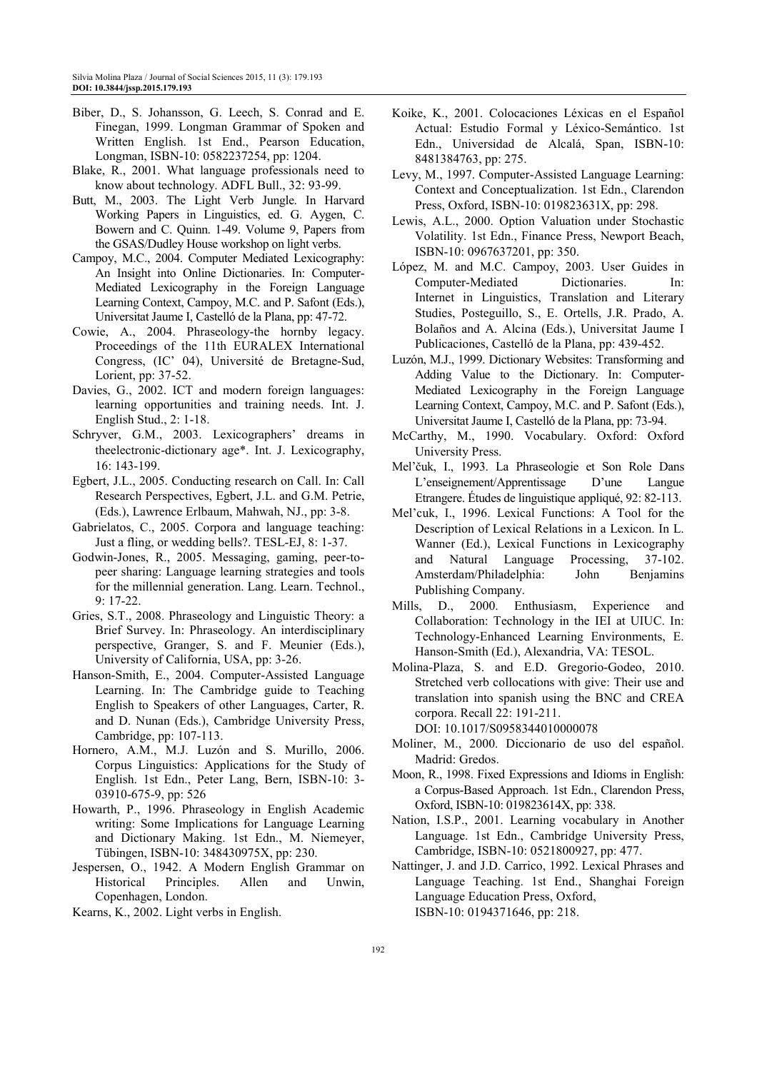- Biber, D., S. Johansson, G. Leech, S. Conrad and E. Finegan, 1999. Longman Grammar of Spoken and Written English. 1st End., Pearson Education, Longman, ISBN-10: 0582237254, pp: 1204.
- Blake, R., 2001. What language professionals need to know about technology. ADFL Bull., 32: 93-99.
- Butt, M., 2003. The Light Verb Jungle. In Harvard Working Papers in Linguistics, ed. G. Aygen, C. Bowern and C. Quinn. 1-49. Volume 9, Papers from the GSAS/Dudley House workshop on light verbs.
- Campoy, M.C., 2004. Computer Mediated Lexicography: An Insight into Online Dictionaries. In: Computer-Mediated Lexicography in the Foreign Language Learning Context, Campoy, M.C. and P. Safont (Eds.), Universitat Jaume I, Castelló de la Plana, pp: 47-72.
- Cowie, A., 2004. Phraseology-the hornby legacy. Proceedings of the 11th EURALEX International Congress, (IC' 04), Université de Bretagne-Sud, Lorient, pp: 37-52.
- Davies, G., 2002. ICT and modern foreign languages: learning opportunities and training needs. Int. J. English Stud., 2: 1-18.
- Schryver, G.M., 2003. Lexicographers' dreams in theelectronic-dictionary age\*. Int. J. Lexicography, 16: 143-199.
- Egbert, J.L., 2005. Conducting research on Call. In: Call Research Perspectives, Egbert, J.L. and G.M. Petrie, (Eds.), Lawrence Erlbaum, Mahwah, NJ., pp: 3-8.
- Gabrielatos, C., 2005. Corpora and language teaching: Just a fling, or wedding bells?. TESL-EJ, 8: 1-37.
- Godwin-Jones, R., 2005. Messaging, gaming, peer-topeer sharing: Language learning strategies and tools for the millennial generation. Lang. Learn. Technol., 9: 17-22.
- Gries, S.T., 2008. Phraseology and Linguistic Theory: a Brief Survey. In: Phraseology. An interdisciplinary perspective, Granger, S. and F. Meunier (Eds.), University of California, USA, pp: 3-26.
- Hanson-Smith, E., 2004. Computer-Assisted Language Learning. In: The Cambridge guide to Teaching English to Speakers of other Languages, Carter, R. and D. Nunan (Eds.), Cambridge University Press, Cambridge, pp: 107-113.
- Hornero, A.M., M.J. Luzón and S. Murillo, 2006. Corpus Linguistics: Applications for the Study of English. 1st Edn., Peter Lang, Bern, ISBN-10: 3- 03910-675-9, pp: 526
- Howarth, P., 1996. Phraseology in English Academic writing: Some Implications for Language Learning and Dictionary Making. 1st Edn., M. Niemeyer, Tübingen, ISBN-10: 348430975X, pp: 230.
- Jespersen, O., 1942. A Modern English Grammar on Historical Principles. Allen and Unwin, Copenhagen, London.
- Kearns, K., 2002. Light verbs in English.
- Koike, K., 2001. Colocaciones Léxicas en el Español Actual: Estudio Formal y Léxico-Semántico. 1st Edn., Universidad de Alcalá, Span, ISBN-10: 8481384763, pp: 275.
- Levy, M., 1997. Computer-Assisted Language Learning: Context and Conceptualization. 1st Edn., Clarendon Press, Oxford, ISBN-10: 019823631X, pp: 298.
- Lewis, A.L., 2000. Option Valuation under Stochastic Volatility. 1st Edn., Finance Press, Newport Beach, ISBN-10: 0967637201, pp: 350.
- López, M. and M.C. Campoy, 2003. User Guides in Computer-Mediated Dictionaries. In: Internet in Linguistics, Translation and Literary Studies, Posteguillo, S., E. Ortells, J.R. Prado, A. Bolaños and A. Alcina (Eds.), Universitat Jaume I Publicaciones, Castelló de la Plana, pp: 439-452.
- Luzón, M.J., 1999. Dictionary Websites: Transforming and Adding Value to the Dictionary. In: Computer-Mediated Lexicography in the Foreign Language Learning Context, Campoy, M.C. and P. Safont (Eds.), Universitat Jaume I, Castelló de la Plana, pp: 73-94.
- McCarthy, M., 1990. Vocabulary. Oxford: Oxford University Press.
- Mel'čuk, I., 1993. La Phraseologie et Son Role Dans L'enseignement/Apprentissage D'une Langue Etrangere. Études de linguistique appliqué, 92: 82-113.
- Mel'cuk, I., 1996. Lexical Functions: A Tool for the Description of Lexical Relations in a Lexicon. In L. Wanner (Ed.), Lexical Functions in Lexicography and Natural Language Processing, 37-102. Amsterdam/Philadelphia: John Benjamins Publishing Company.
- Mills, D., 2000. Enthusiasm, Experience and Collaboration: Technology in the IEI at UIUC. In: Technology-Enhanced Learning Environments, E. Hanson-Smith (Ed.), Alexandria, VA: TESOL.
- Molina-Plaza, S. and E.D. Gregorio-Godeo, 2010. Stretched verb collocations with give: Their use and translation into spanish using the BNC and CREA corpora. Recall 22: 191-211. DOI: 10.1017/S0958344010000078
- Moliner, M., 2000. Diccionario de uso del español. Madrid: Gredos.
- Moon, R., 1998. Fixed Expressions and Idioms in English: a Corpus-Based Approach. 1st Edn., Clarendon Press, Oxford, ISBN-10: 019823614X, pp: 338.
- Nation, I.S.P., 2001. Learning vocabulary in Another Language. 1st Edn., Cambridge University Press, Cambridge, ISBN-10: 0521800927, pp: 477.
- Nattinger, J. and J.D. Carrico, 1992. Lexical Phrases and Language Teaching. 1st End., Shanghai Foreign Language Education Press, Oxford, ISBN-10: 0194371646, pp: 218.